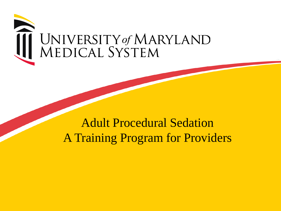

# Adult Procedural Sedation A Training Program for Providers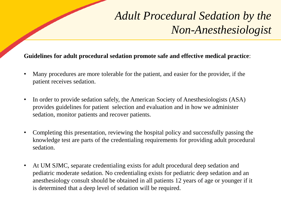# *Adult Procedural Sedation by the Non-Anesthesiologist*

#### **Guidelines for adult procedural sedation promote safe and effective medical practice**:

- Many procedures are more tolerable for the patient, and easier for the provider, if the patient receives sedation.
- In order to provide sedation safely, the American Society of Anesthesiologists (ASA) provides guidelines for patient selection and evaluation and in how we administer sedation, monitor patients and recover patients.
- Completing this presentation, reviewing the hospital policy and successfully passing the knowledge test are parts of the credentialing requirements for providing adult procedural sedation.
- At UM SJMC, separate credentialing exists for adult procedural deep sedation and pediatric moderate sedation. No credentialing exists for pediatric deep sedation and an anesthesiology consult should be obtained in all patients 12 years of age or younger if it is determined that a deep level of sedation will be required.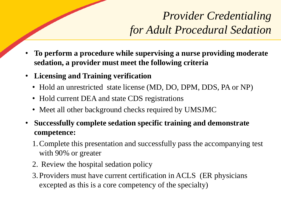# *Provider Credentialing for Adult Procedural Sedation*

- **To perform a procedure while supervising a nurse providing moderate sedation, a provider must meet the following criteria**
- **Licensing and Training verification**
	- Hold an unrestricted state license (MD, DO, DPM, DDS, PA or NP)
	- Hold current DEA and state CDS registrations
	- Meet all other background checks required by UMSJMC
- **Successfully complete sedation specific training and demonstrate competence:**
	- 1.Complete this presentation and successfully pass the accompanying test with 90% or greater
	- 2. Review the hospital sedation policy
	- 3. Providers must have current certification in ACLS (ER physicians excepted as this is a core competency of the specialty)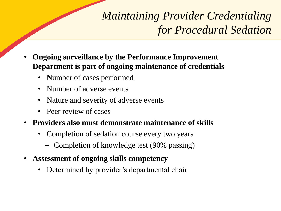*Maintaining Provider Credentialing for Procedural Sedation*

- **Ongoing surveillance by the Performance Improvement Department is part of ongoing maintenance of credentials**
	- **N**umber of cases performed
	- Number of adverse events
	- Nature and severity of adverse events
	- Peer review of cases
- **Providers also must demonstrate maintenance of skills**
	- Completion of sedation course every two years
		- Completion of knowledge test (90% passing)
- **Assessment of ongoing skills competency**
	- Determined by provider's departmental chair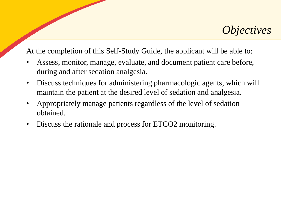#### *Objectives*

At the completion of this Self-Study Guide, the applicant will be able to:

- Assess, monitor, manage, evaluate, and document patient care before, during and after sedation analgesia.
- Discuss techniques for administering pharmacologic agents, which will maintain the patient at the desired level of sedation and analgesia.
- Appropriately manage patients regardless of the level of sedation obtained.
- Discuss the rationale and process for ETCO2 monitoring.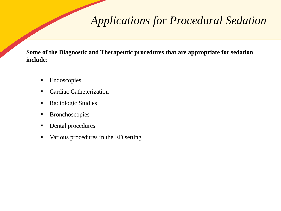## *Applications for Procedural Sedation*

**Some of the Diagnostic and Therapeutic procedures that are appropriate for sedation include**:

- Endoscopies
- Cardiac Catheterization
- Radiologic Studies
- Bronchoscopies
- Dental procedures
- Various procedures in the ED setting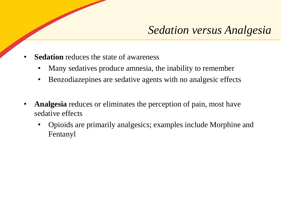- **Sedation** reduces the state of awareness
	- Many sedatives produce amnesia, the inability to remember
	- Benzodiazepines are sedative agents with no analgesic effects
- **Analgesia** reduces or eliminates the perception of pain, most have sedative effects
	- Opioids are primarily analgesics; examples include Morphine and Fentanyl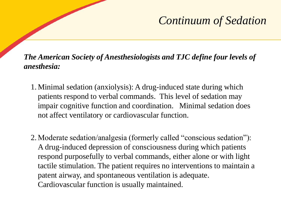## *Continuum of Sedation*

*The American Society of Anesthesiologists and TJC define four levels of anesthesia:*

- 1.Minimal sedation (anxiolysis): A drug-induced state during which patients respond to verbal commands. This level of sedation may impair cognitive function and coordination. Minimal sedation does not affect ventilatory or cardiovascular function.
- 2. Moderate sedation/analgesia (formerly called "conscious sedation"): A drug-induced depression of consciousness during which patients respond purposefully to verbal commands, either alone or with light tactile stimulation. The patient requires no interventions to maintain a patent airway, and spontaneous ventilation is adequate. Cardiovascular function is usually maintained.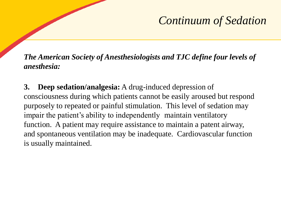## *Continuum of Sedation*

*The American Society of Anesthesiologists and TJC define four levels of anesthesia:*

**3. Deep sedation/analgesia:** A drug-induced depression of consciousness during which patients cannot be easily aroused but respond purposely to repeated or painful stimulation. This level of sedation may impair the patient's ability to independently maintain ventilatory function. A patient may require assistance to maintain a patent airway, and spontaneous ventilation may be inadequate. Cardiovascular function is usually maintained.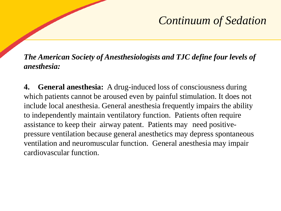## *Continuum of Sedation*

*The American Society of Anesthesiologists and TJC define four levels of anesthesia:*

**4. General anesthesia:** A drug-induced loss of consciousness during which patients cannot be aroused even by painful stimulation. It does not include local anesthesia. General anesthesia frequently impairs the ability to independently maintain ventilatory function. Patients often require assistance to keep their airway patent. Patients may need positivepressure ventilation because general anesthetics may depress spontaneous ventilation and neuromuscular function. General anesthesia may impair cardiovascular function.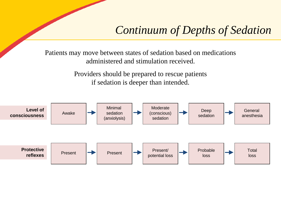#### *Continuum of Depths of Sedation*

Patients may move between states of sedation based on medications administered and stimulation received.

> Providers should be prepared to rescue patients if sedation is deeper than intended.

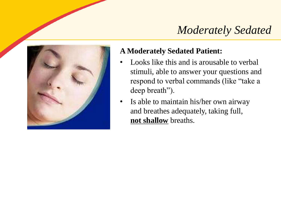## *Moderately Sedated*



#### **A Moderately Sedated Patient:**

- Looks like this and is arousable to verbal stimuli, able to answer your questions and respond to verbal commands (like "take a deep breath").
- Is able to maintain his/her own airway and breathes adequately, taking full, **not shallow** breaths.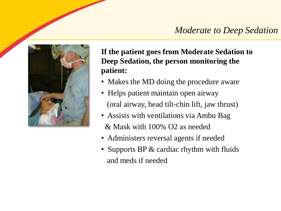#### *Moderate to Deep Sedation*



**If the patient goes from Moderate Sedation to Deep Sedation, the person monitoring the patient:**

- Makes the MD doing the procedure aware
- Helps patient maintain open airway (oral airway, head tilt-chin lift, jaw thrust)
- Assists with ventilations via Ambu Bag & Mask with 100% O2 as needed
- Administers reversal agents if needed
- Supports BP & cardiac rhythm with fluids and meds if needed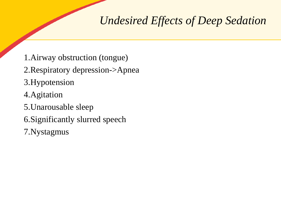## *Undesired Effects of Deep Sedation*

- 1.Airway obstruction (tongue)
- 2.Respiratory depression->Apnea
- 3.Hypotension
- 4.Agitation
- 5.Unarousable sleep
- 6.Significantly slurred speech
- 7.Nystagmus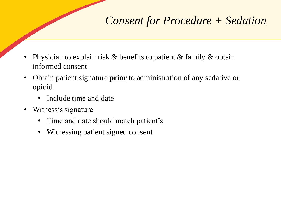## *Consent for Procedure + Sedation*

- Physician to explain risk  $\&$  benefits to patient  $\&$  family  $\&$  obtain informed consent
- Obtain patient signature **prior** to administration of any sedative or opioid
	- Include time and date
- Witness's signature
	- Time and date should match patient's
	- Witnessing patient signed consent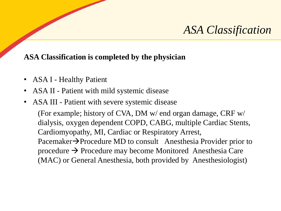#### *ASA Classification*

#### **ASA Classification is completed by the physician**

- ASA I Healthy Patient
- ASA II Patient with mild systemic disease
- ASA III Patient with severe systemic disease

(For example; history of CVA, DM w/ end organ damage, CRF w/ dialysis, oxygen dependent COPD, CABG, multiple Cardiac Stents, Cardiomyopathy, MI, Cardiac or Respiratory Arrest, Pacemaker→Procedure MD to consult Anesthesia Provider prior to procedure → Procedure may become Monitored Anesthesia Care (MAC) or General Anesthesia, both provided by Anesthesiologist)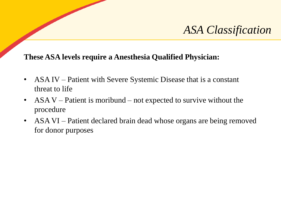#### *ASA Classification*

#### **These ASA levels require a Anesthesia Qualified Physician:**

- ASA IV Patient with Severe Systemic Disease that is a constant threat to life
- ASA V Patient is moribund not expected to survive without the procedure
- ASA VI Patient declared brain dead whose organs are being removed for donor purposes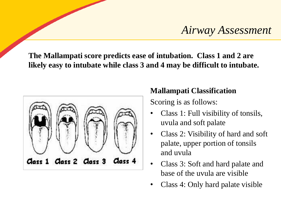#### *Airway Assessment*

**The Mallampati score predicts ease of intubation. Class 1 and 2 are likely easy to intubate while class 3 and 4 may be difficult to intubate.** 



#### **Mallampati Classification**

Scoring is as follows:

- Class 1: Full visibility of tonsils, uvula and soft palate
- Class 2: Visibility of hard and soft palate, upper portion of tonsils and uvula
- Class 3: Soft and hard palate and base of the uvula are visible
- Class 4: Only hard palate visible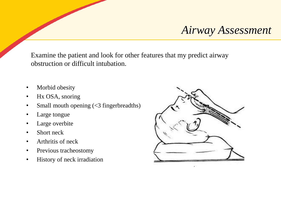#### *Airway Assessment*

Examine the patient and look for other features that my predict airway obstruction or difficult intubation.

- Morbid obesity
- Hx OSA, snoring
- Small mouth opening (<3 fingerbreadths)
- Large tongue
- Large overbite
- Short neck
- Arthritis of neck
- Previous tracheostomy
- History of neck irradiation

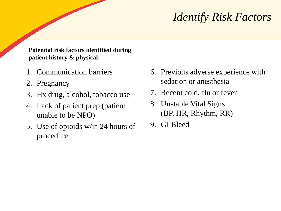## *Identify Risk Factors*

**Potential risk factors identified during patient history & physical:**

- 1. Communication barriers
- 2. Pregnancy
- 3. Hx drug, alcohol, tobacco use
- 4. Lack of patient prep (patient unable to be NPO)
- 5. Use of opioids w/in 24 hours of procedure
- 6. Previous adverse experience with sedation or anesthesia
- 7. Recent cold, flu or fever
- 8. Unstable Vital Signs (BP, HR, Rhythm, RR)
- 9. GI Bleed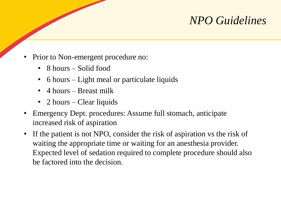## *NPO Guidelines*

- Prior to Non-emergent procedure no:
	- 8 hours Solid food
	- 6 hours Light meal or particulate liquids
	- 4 hours Breast milk
	- 2 hours Clear liquids
- Emergency Dept. procedures: Assume full stomach, anticipate increased risk of aspiration
- If the patient is not NPO, consider the risk of aspiration vs the risk of waiting the appropriate time or waiting for an anesthesia provider. Expected level of sedation required to complete procedure should also be factored into the decision.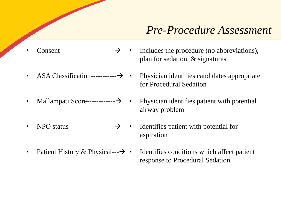#### *Pre-Procedure Assessment*

- Consent ----------------------→
- ASA Classification------------- $\rightarrow \bullet$
- Mallampati Score------------→
- NPO status-------------------→
- Patient History & Physical--- $\rightarrow \bullet$
- Includes the procedure (no abbreviations), plan for sedation, & signatures
- Physician identifies candidates appropriate for Procedural Sedation
- Physician identifies patient with potential airway problem
- Identifies patient with potential for aspiration
- Identifies conditions which affect patient response to Procedural Sedation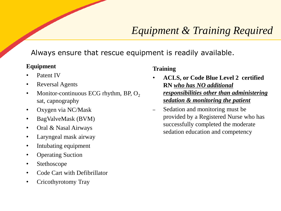#### *Equipment & Training Required*

Always ensure that rescue equipment is readily available.

#### **Equipment**

- Patent IV
- Reversal Agents
- Monitor-continuous ECG rhythm, BP,  $O_2$ sat, capnography
- Oxygen via NC/Mask
- BagValveMask (BVM)
- Oral & Nasal Airways
- Laryngeal mask airway
- Intubating equipment
- Operating Suction
- Stethoscope
- Code Cart with Defibrillator
- Cricothyrotomy Tray

#### **Training**

- **ACLS, or Code Blue Level 2 certified RN** *who has NO additional responsibilities other than administering sedation & monitoring the patient*
- Sedation and monitoring must be provided by a Registered Nurse who has successfully completed the moderate sedation education and competency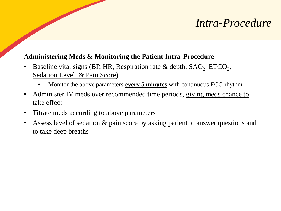#### *Intra-Procedure*

#### **Administering Meds & Monitoring the Patient Intra-Procedure**

- Baseline vital signs (BP, HR, Respiration rate & depth,  $SAO_2$ ,  $ETCO_2$ , Sedation Level, & Pain Score)
	- Monitor the above parameters **every 5 minutes** with continuous ECG rhythm
- Administer IV meds over recommended time periods, giving meds chance to take effect
- Titrate meds according to above parameters
- Assess level of sedation & pain score by asking patient to answer questions and to take deep breaths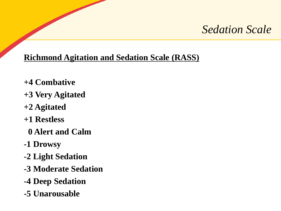#### *Sedation Scale*

#### **Richmond Agitation and Sedation Scale (RASS)**

- **+4 Combative**
- **+3 Very Agitated**
- **+2 Agitated**
- **+1 Restless**
	- **0 Alert and Calm**
- **-1 Drowsy**
- **-2 Light Sedation**
- **-3 Moderate Sedation**
- **-4 Deep Sedation**
- **-5 Unarousable**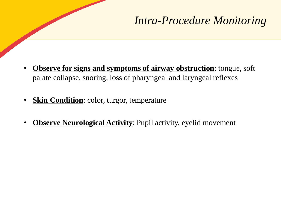## *Intra-Procedure Monitoring*

- **Observe for signs and symptoms of airway obstruction**: tongue, soft palate collapse, snoring, loss of pharyngeal and laryngeal reflexes
- **Skin Condition**: color, turgor, temperature
- **Observe Neurological Activity**: Pupil activity, eyelid movement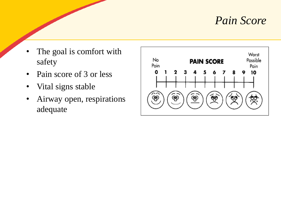#### *Pain Score*

- The goal is comfort with safety
- Pain score of 3 or less
- Vital signs stable
- Airway open, respirations adequate

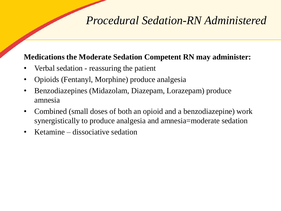### *Procedural Sedation-RN Administered*

#### **Medications the Moderate Sedation Competent RN may administer:**

- Verbal sedation reassuring the patient
- Opioids (Fentanyl, Morphine) produce analgesia
- Benzodiazepines (Midazolam, Diazepam, Lorazepam) produce amnesia
- Combined (small doses of both an opioid and a benzodiazepine) work synergistically to produce analgesia and amnesia=moderate sedation
- Ketamine dissociative sedation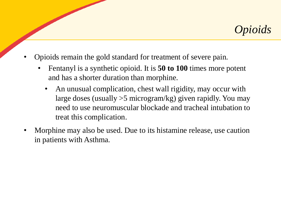

- Opioids remain the gold standard for treatment of severe pain.
	- Fentanyl is a synthetic opioid. It is **50 to 100** times more potent and has a shorter duration than morphine.
		- An unusual complication, chest wall rigidity, may occur with large doses (usually >5 microgram/kg) given rapidly. You may need to use neuromuscular blockade and tracheal intubation to treat this complication.
- Morphine may also be used. Due to its histamine release, use caution in patients with Asthma.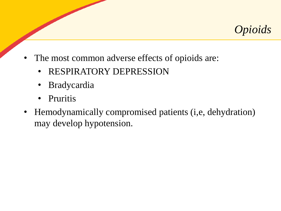

- The most common adverse effects of opioids are:
	- RESPIRATORY DEPRESSION
	- **Bradycardia**
	- Pruritis
- Hemodynamically compromised patients (i,e, dehydration) may develop hypotension.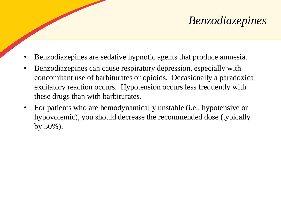## *Benzodiazepines*

- Benzodiazepines are sedative hypnotic agents that produce amnesia.
- Benzodiazepines can cause respiratory depression, especially with concomitant use of barbiturates or opioids. Occasionally a paradoxical excitatory reaction occurs. Hypotension occurs less frequently with these drugs than with barbiturates.
- For patients who are hemodynamically unstable (i.e., hypotensive or hypovolemic), you should decrease the recommended dose (typically by 50%).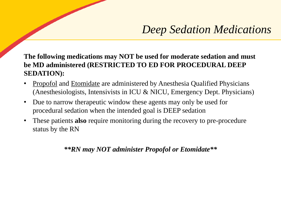## *Deep Sedation Medications*

**The following medications may NOT be used for moderate sedation and must be MD administered (RESTRICTED TO ED FOR PROCEDURAL DEEP SEDATION):**

- Propofol and Etomidate are administered by Anesthesia Qualified Physicians (Anesthesiologists, Intensivists in ICU & NICU, Emergency Dept. Physicians)
- Due to narrow therapeutic window these agents may only be used for procedural sedation when the intended goal is DEEP sedation
- These patients **also** require monitoring during the recovery to pre-procedure status by the RN

*\*\*RN may NOT administer Propofol or Etomidate\*\**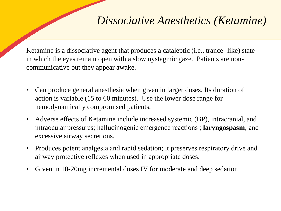### *Dissociative Anesthetics (Ketamine)*

Ketamine is a dissociative agent that produces a cataleptic (i.e., trance- like) state in which the eyes remain open with a slow nystagmic gaze. Patients are noncommunicative but they appear awake.

- Can produce general anesthesia when given in larger doses. Its duration of action is variable (15 to 60 minutes). Use the lower dose range for hemodynamically compromised patients.
- Adverse effects of Ketamine include increased systemic (BP), intracranial, and intraocular pressures; hallucinogenic emergence reactions ; **laryngospasm**; and excessive airway secretions.
- Produces potent analgesia and rapid sedation; it preserves respiratory drive and airway protective reflexes when used in appropriate doses.
- Given in 10-20mg incremental doses IV for moderate and deep sedation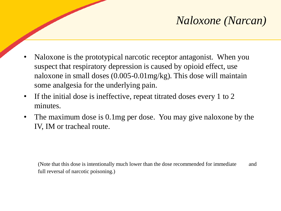## *Naloxone (Narcan)*

- Naloxone is the prototypical narcotic receptor antagonist. When you suspect that respiratory depression is caused by opioid effect, use naloxone in small doses (0.005-0.01mg/kg). This dose will maintain some analgesia for the underlying pain.
- If the initial dose is ineffective, repeat titrated doses every 1 to 2 minutes.
- The maximum dose is 0.1mg per dose. You may give naloxone by the IV, IM or tracheal route.

(Note that this dose is intentionally much lower than the dose recommended for immediate and full reversal of narcotic poisoning.)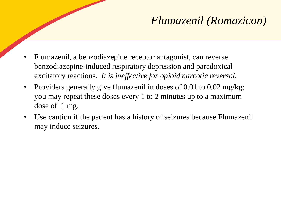## *Flumazenil (Romazicon)*

- Flumazenil, a benzodiazepine receptor antagonist, can reverse benzodiazepine-induced respiratory depression and paradoxical excitatory reactions. *It is ineffective for opioid narcotic reversal.*
- Providers generally give flumazenil in doses of 0.01 to 0.02 mg/kg; you may repeat these doses every 1 to 2 minutes up to a maximum dose of 1 mg.
- Use caution if the patient has a history of seizures because Flumazenil may induce seizures.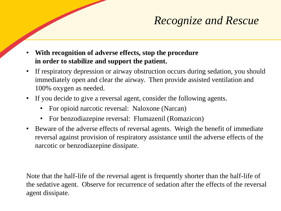## *Recognize and Rescue*

- **With recognition of adverse effects, stop the procedure in order to stabilize and support the patient.**
- If respiratory depression or airway obstruction occurs during sedation, you should immediately open and clear the airway. Then provide assisted ventilation and 100% oxygen as needed.
- If you decide to give a reversal agent, consider the following agents.
	- For opioid narcotic reversal: Naloxone (Narcan)
	- For benzodiazepine reversal: Flumazenil (Romazicon)
- Beware of the adverse effects of reversal agents. Weigh the benefit of immediate reversal against provision of respiratory assistance until the adverse effects of the narcotic or benzodiazepine dissipate.

Note that the half-life of the reversal agent is frequently shorter than the half-life of the sedative agent. Observe for recurrence of sedation after the effects of the reversal agent dissipate.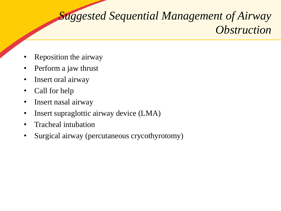# *Suggested Sequential Management of Airway Obstruction*

- Reposition the airway
- Perform a jaw thrust
- Insert oral airway
- Call for help
- Insert nasal airway
- Insert supraglottic airway device (LMA)
- Tracheal intubation
- Surgical airway (percutaneous crycothyrotomy)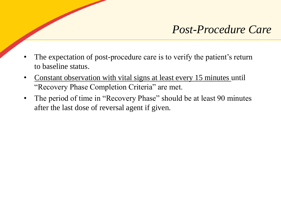#### *Post-Procedure Care*

- The expectation of post-procedure care is to verify the patient's return to baseline status.
- Constant observation with vital signs at least every 15 minutes until "Recovery Phase Completion Criteria" are met.
- The period of time in "Recovery Phase" should be at least 90 minutes after the last dose of reversal agent if given.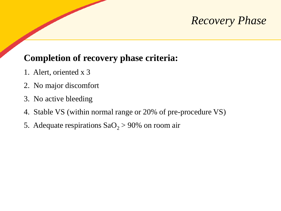#### *Recovery Phase*

#### **Completion of recovery phase criteria:**

- 1. Alert, oriented x 3
- 2. No major discomfort
- 3. No active bleeding
- 4. Stable VS (within normal range or 20% of pre-procedure VS)
- 5. Adequate respirations  $SaO<sub>2</sub> > 90%$  on room air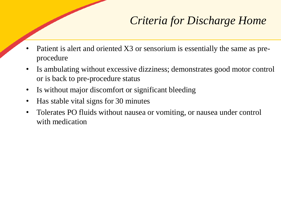## *Criteria for Discharge Home*

- Patient is alert and oriented X3 or sensorium is essentially the same as preprocedure
- Is ambulating without excessive dizziness; demonstrates good motor control or is back to pre-procedure status
- Is without major discomfort or significant bleeding
- Has stable vital signs for 30 minutes
- Tolerates PO fluids without nausea or vomiting, or nausea under control with medication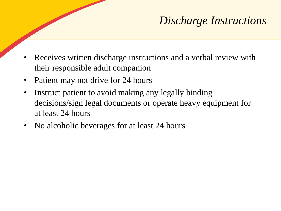## *Discharge Instructions*

- Receives written discharge instructions and a verbal review with their responsible adult companion
- Patient may not drive for 24 hours
- Instruct patient to avoid making any legally binding decisions/sign legal documents or operate heavy equipment for at least 24 hours
- No alcoholic beverages for at least 24 hours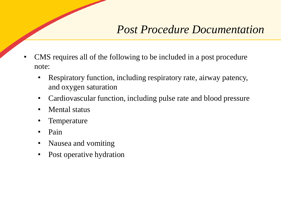#### *Post Procedure Documentation*

- CMS requires all of the following to be included in a post procedure note:
	- Respiratory function, including respiratory rate, airway patency, and oxygen saturation
	- Cardiovascular function, including pulse rate and blood pressure
	- Mental status
	- **Temperature**
	- Pain
	- Nausea and vomiting
	- Post operative hydration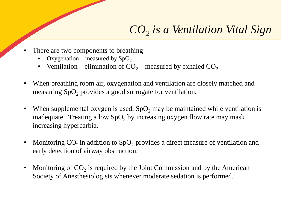# *CO<sup>2</sup> is a Ventilation Vital Sign*

- There are two components to breathing
	- Oxygenation measured by  $SpO<sub>2</sub>$
	- Ventilation elimination of  $CO_2$  measured by exhaled  $CO_2$
- When breathing room air, oxygenation and ventilation are closely matched and measuring  $SpO<sub>2</sub>$  provides a good surrogate for ventilation.
- When supplemental oxygen is used,  $SpO<sub>2</sub>$  may be maintained while ventilation is inadequate. Treating a low  $SpO<sub>2</sub>$  by increasing oxygen flow rate may mask increasing hypercarbia.
- Monitoring  $CO_2$  in addition to  $SpO_2$  provides a direct measure of ventilation and early detection of airway obstruction.
- Monitoring of  $CO_2$  is required by the Joint Commission and by the American Society of Anesthesiologists whenever moderate sedation is performed.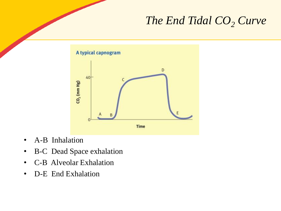## *The End Tidal CO<sup>2</sup> Curve*



- A-B Inhalation
- B-C Dead Space exhalation
- C-B Alveolar Exhalation
- D-E End Exhalation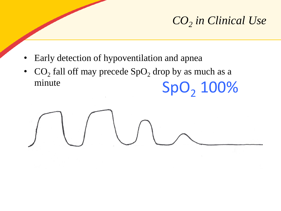# *CO<sup>2</sup> in Clinical Use*

- Early detection of hypoventilation and apnea
- $CO_2$  fall off may precede  $SpO_2$  drop by as much as a minute  $SpO<sub>2</sub> 100%$

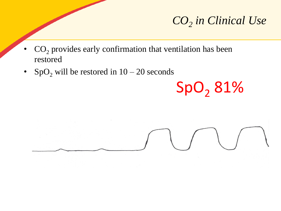# *CO<sup>2</sup> in Clinical Use*

- $CO<sub>2</sub>$  provides early confirmation that ventilation has been restored
- SpO<sub>2</sub> will be restored in  $10 20$  seconds

SpO<sub>2</sub> 81%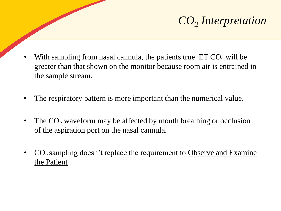# *CO<sup>2</sup> Interpretation*

- With sampling from nasal cannula, the patients true  $ETCO<sub>2</sub>$  will be greater than that shown on the monitor because room air is entrained in the sample stream.
- The respiratory pattern is more important than the numerical value.
- The  $CO<sub>2</sub>$  waveform may be affected by mouth breathing or occlusion of the aspiration port on the nasal cannula.
- CO<sub>2</sub> sampling doesn't replace the requirement to Observe and Examine the Patient